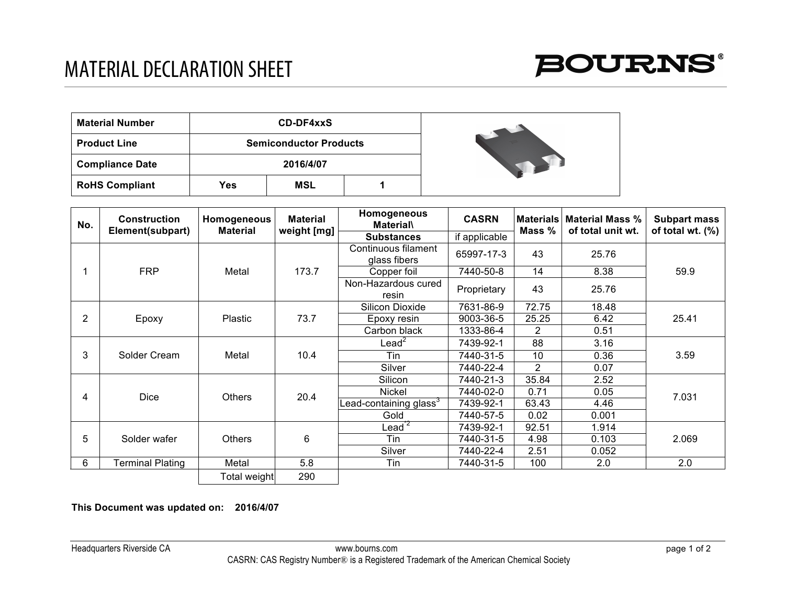

| <b>Material Number</b> |     | <b>CD-DF4xxS</b>              |  |  |
|------------------------|-----|-------------------------------|--|--|
| <b>Product Line</b>    |     | <b>Semiconductor Products</b> |  |  |
| <b>Compliance Date</b> |     | 2016/4/07                     |  |  |
| <b>RoHS Compliant</b>  | Yes | MSL                           |  |  |

| No. | <b>Construction</b><br>Element(subpart) | Homogeneous<br><b>Material</b> | <b>Material</b><br>weight [mg] | Homogeneous<br><b>Material\</b>     | <b>CASRN</b>  | <b>Materials</b> | <b>Material Mass %</b><br>of total unit wt. | <b>Subpart mass</b><br>of total wt. (%) |
|-----|-----------------------------------------|--------------------------------|--------------------------------|-------------------------------------|---------------|------------------|---------------------------------------------|-----------------------------------------|
|     |                                         |                                |                                | <b>Substances</b>                   | if applicable | Mass %           |                                             |                                         |
|     | <b>FRP</b>                              | Metal                          | 173.7                          | Continuous filament<br>glass fibers | 65997-17-3    | 43               | 25.76                                       | 59.9                                    |
|     |                                         |                                |                                | Copper foil                         | 7440-50-8     | 14               | 8.38                                        |                                         |
|     |                                         |                                |                                | Non-Hazardous cured<br>resin        | Proprietary   | 43               | 25.76                                       |                                         |
| 2   | Epoxy                                   | <b>Plastic</b>                 | 73.7                           | Silicon Dioxide                     | 7631-86-9     | 72.75            | 18.48                                       | 25.41                                   |
|     |                                         |                                |                                | Epoxy resin                         | 9003-36-5     | 25.25            | 6.42                                        |                                         |
|     |                                         |                                |                                | Carbon black                        | 1333-86-4     | 2                | 0.51                                        |                                         |
| 3   | Solder Cream                            | Metal                          | 10.4                           | $\text{lead}^2$                     | 7439-92-1     | 88               | 3.16                                        | 3.59                                    |
|     |                                         |                                |                                | Tin                                 | 7440-31-5     | 10               | 0.36                                        |                                         |
|     |                                         |                                |                                | Silver                              | 7440-22-4     | 2                | 0.07                                        |                                         |
| 4   | <b>Dice</b>                             | <b>Others</b>                  | 20.4                           | Silicon                             | 7440-21-3     | 35.84            | 2.52                                        | 7.031                                   |
|     |                                         |                                |                                | <b>Nickel</b>                       | 7440-02-0     | 0.71             | 0.05                                        |                                         |
|     |                                         |                                |                                | Lead-containing glass $^3$          | 7439-92-1     | 63.43            | 4.46                                        |                                         |
|     |                                         |                                |                                | Gold                                | 7440-57-5     | 0.02             | 0.001                                       |                                         |
| 5   | Solder wafer                            | <b>Others</b>                  | 6                              | $\text{lead}^{\mathsf{z}}$          | 7439-92-1     | 92.51            | 1.914                                       | 2.069                                   |
|     |                                         |                                |                                | Tin                                 | 7440-31-5     | 4.98             | 0.103                                       |                                         |
|     |                                         |                                |                                | Silver                              | 7440-22-4     | 2.51             | 0.052                                       |                                         |
| 6   | <b>Terminal Plating</b>                 | Metal                          | 5.8                            | Tin                                 | 7440-31-5     | 100              | 2.0                                         | 2.0                                     |
|     |                                         | Total weight                   | 290                            |                                     |               |                  |                                             |                                         |

**This Document was updated on: 2016/4/07**